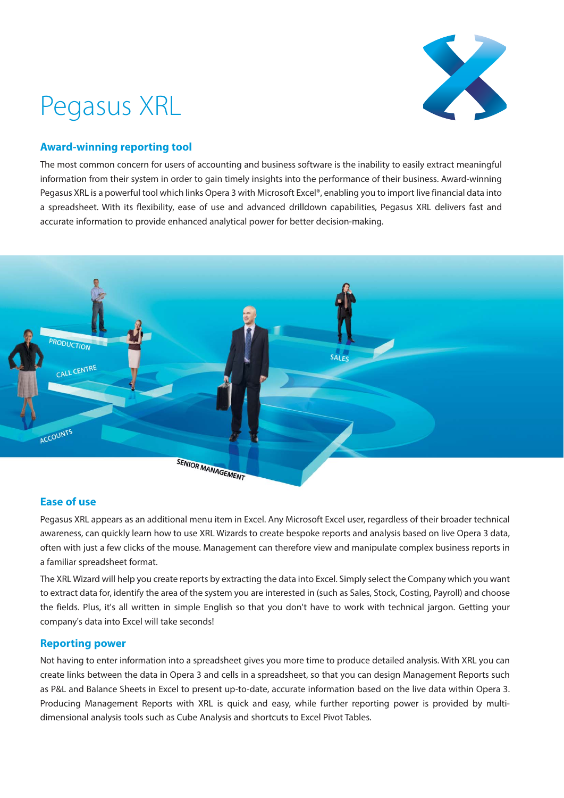# Pegasus XRL



# **Award-winning reporting tool**

The most common concern for users of accounting and business software is the inability to easily extract meaningful information from their system in order to gain timely insights into the performance of their business. Award-winning Pegasus XRL is a powerful tool which links Opera 3 with Microsoft Excel®, enabling you to import live financial data into a spreadsheet. With its flexibility, ease of use and advanced drilldown capabilities, Pegasus XRL delivers fast and accurate information to provide enhanced analytical power for better decision-making.



# **Ease of use**

Pegasus XRL appears as an additional menu item in Excel. Any Microsoft Excel user, regardless of their broader technical awareness, can quickly learn how to use XRL Wizards to create bespoke reports and analysis based on live Opera 3 data, often with just a few clicks of the mouse. Management can therefore view and manipulate complex business reports in a familiar spreadsheet format.

The XRL Wizard will help you create reports by extracting the data into Excel. Simply select the Company which you want to extract data for, identify the area of the system you are interested in (such as Sales, Stock, Costing, Payroll) and choose the fields. Plus, it's all written in simple English so that you don't have to work with technical jargon. Getting your company's data into Excel will take seconds!

## **Reporting power**

Not having to enter information into a spreadsheet gives you more time to produce detailed analysis. With XRL you can create links between the data in Opera 3 and cells in a spreadsheet, so that you can design Management Reports such as P&L and Balance Sheets in Excel to present up-to-date, accurate information based on the live data within Opera 3. Producing Management Reports with XRL is quick and easy, while further reporting power is provided by multidimensional analysis tools such as Cube Analysis and shortcuts to Excel Pivot Tables.